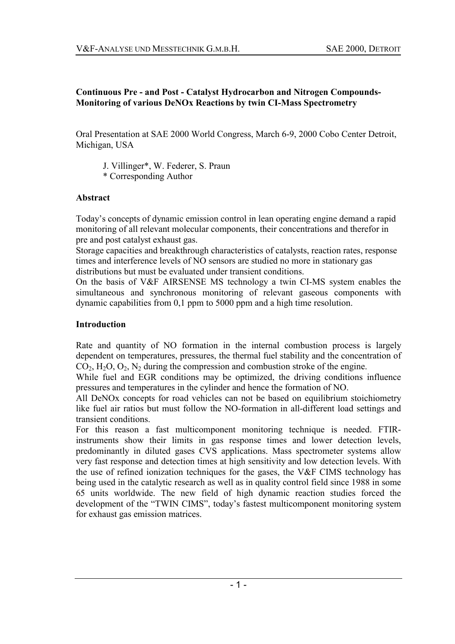## **Continuous Pre - and Post - Catalyst Hydrocarbon and Nitrogen Compounds-Monitoring of various DeNOx Reactions by twin CI-Mass Spectrometry**

Oral Presentation at SAE 2000 World Congress, March 6-9, 2000 Cobo Center Detroit, Michigan, USA

J. Villinger\*, W. Federer, S. Praun \* Corresponding Author

### **Abstract**

Today's concepts of dynamic emission control in lean operating engine demand a rapid monitoring of all relevant molecular components, their concentrations and therefor in pre and post catalyst exhaust gas.

Storage capacities and breakthrough characteristics of catalysts, reaction rates, response times and interference levels of NO sensors are studied no more in stationary gas distributions but must be evaluated under transient conditions.

On the basis of V&F AIRSENSE MS technology a twin CI-MS system enables the simultaneous and synchronous monitoring of relevant gaseous components with dynamic capabilities from 0,1 ppm to 5000 ppm and a high time resolution.

### **Introduction**

Rate and quantity of NO formation in the internal combustion process is largely dependent on temperatures, pressures, the thermal fuel stability and the concentration of  $CO<sub>2</sub>, H<sub>2</sub>O, O<sub>2</sub>, N<sub>2</sub>$  during the compression and combustion stroke of the engine.

While fuel and EGR conditions may be optimized, the driving conditions influence pressures and temperatures in the cylinder and hence the formation of NO.

All DeNOx concepts for road vehicles can not be based on equilibrium stoichiometry like fuel air ratios but must follow the NO-formation in all-different load settings and transient conditions.

For this reason a fast multicomponent monitoring technique is needed. FTIRinstruments show their limits in gas response times and lower detection levels, predominantly in diluted gases CVS applications. Mass spectrometer systems allow very fast response and detection times at high sensitivity and low detection levels. With the use of refined ionization techniques for the gases, the V&F CIMS technology has being used in the catalytic research as well as in quality control field since 1988 in some 65 units worldwide. The new field of high dynamic reaction studies forced the development of the "TWIN CIMS", today's fastest multicomponent monitoring system for exhaust gas emission matrices.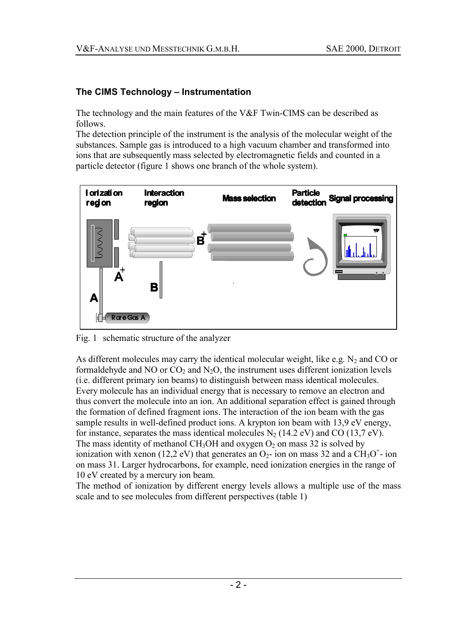# **The CIMS Technology - Instrumentation**

The technology and the main features of the V&F Twin-CIMS can be described as follows.

The detection principle of the instrument is the analysis of the molecular weight of the substances. Sample gas is introduced to a high vacuum chamber and transformed into ions that are subsequently mass selected by electromagnetic fields and counted in a particle detector (figure 1 shows one branch of the whole system).



Fig. 1 schematic structure of the analyzer

As different molecules may carry the identical molecular weight, like e.g.  $N_2$  and CO or formaldehyde and NO or  $CO<sub>2</sub>$  and N<sub>2</sub>O, the instrument uses different ionization levels (i.e. different primary ion beams) to distinguish between mass identical molecules. Every molecule has an individual energy that is necessary to remove an electron and thus convert the molecule into an ion. An additional separation effect is gained through the formation of defined fragment ions. The interaction of the ion beam with the gas sample results in well-defined product ions. A krypton ion beam with 13,9 eV energy, for instance, separates the mass identical molecules  $N_2$  (14.2 eV) and CO (13,7 eV). The mass identity of methanol CH<sub>3</sub>OH and oxygen  $O_2$  on mass 32 is solved by ionization with xenon (12,2 eV) that generates an  $O_2$ - ion on mass 32 and a CH<sub>3</sub>O<sup>+</sup>- ion on mass 31. Larger hydrocarbons, for example, need ionization energies in the range of 10 eV created by a mercury ion beam.

The method of ionization by different energy levels allows a multiple use of the mass scale and to see molecules from different perspectives (table 1)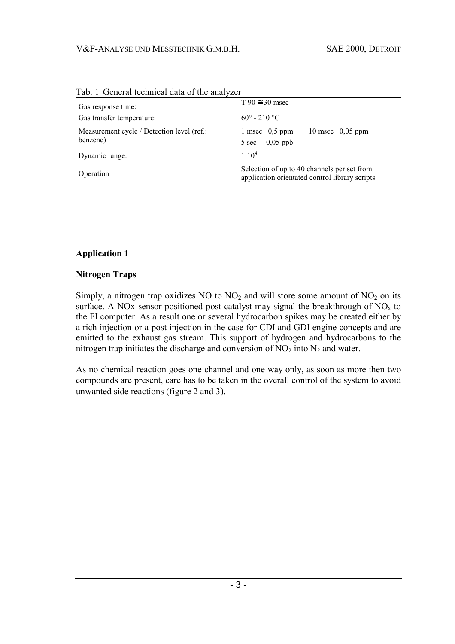| Gas response time:                                     | $T 90 \approx 30$ msec                                                                        |  |  |  |
|--------------------------------------------------------|-----------------------------------------------------------------------------------------------|--|--|--|
| Gas transfer temperature:                              | $60^{\circ}$ - 210 $^{\circ}$ C                                                               |  |  |  |
| Measurement cycle / Detection level (ref.:<br>benzene) | 10 msec $0.05$ ppm<br>1 msec $0.5$ ppm<br>$0,05$ ppb<br>5 sec                                 |  |  |  |
| Dynamic range:                                         | $1:10^{4}$                                                                                    |  |  |  |
| Operation                                              | Selection of up to 40 channels per set from<br>application orientated control library scripts |  |  |  |

Tab. 1 General technical data of the analyzer

## **Application 1**

#### **Nitrogen Traps**

Simply, a nitrogen trap oxidizes NO to  $NO<sub>2</sub>$  and will store some amount of  $NO<sub>2</sub>$  on its surface. A NOx sensor positioned post catalyst may signal the breakthrough of  $NO<sub>x</sub>$  to the FI computer. As a result one or several hydrocarbon spikes may be created either by a rich injection or a post injection in the case for CDI and GDI engine concepts and are emitted to the exhaust gas stream. This support of hydrogen and hydrocarbons to the nitrogen trap initiates the discharge and conversion of  $NO<sub>2</sub>$  into  $N<sub>2</sub>$  and water.

As no chemical reaction goes one channel and one way only, as soon as more then two compounds are present, care has to be taken in the overall control of the system to avoid unwanted side reactions (figure 2 and 3).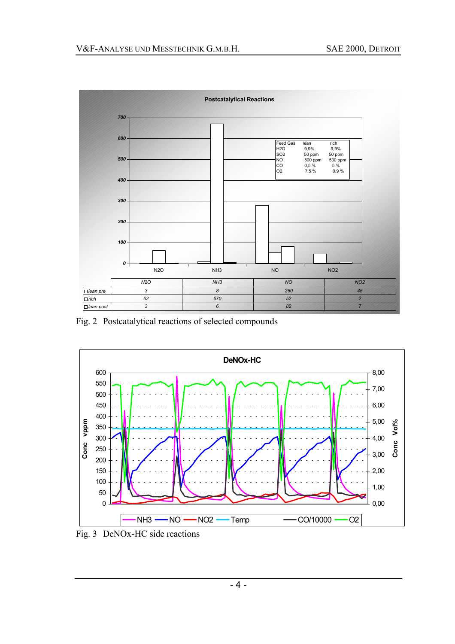

Fig. 2 Postcatalytical reactions of selected compounds



Fig. 3 DeNOx-HC side reactions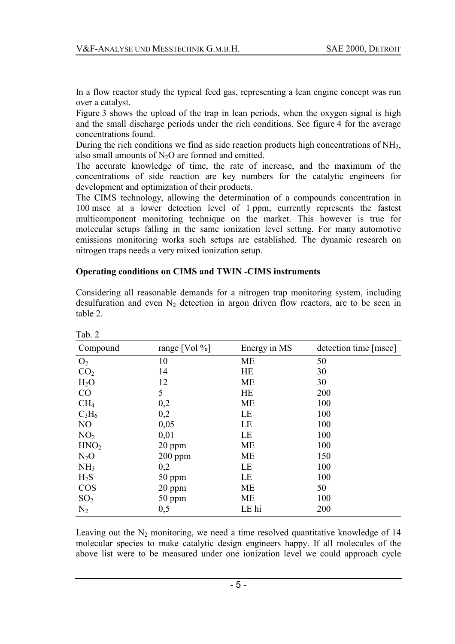In a flow reactor study the typical feed gas, representing a lean engine concept was run over a catalyst.

Figure 3 shows the upload of the trap in lean periods, when the oxygen signal is high and the small discharge periods under the rich conditions. See figure 4 for the average concentrations found.

During the rich conditions we find as side reaction products high concentrations of NH<sub>3</sub>, also small amounts of  $N_2O$  are formed and emitted.

The accurate knowledge of time, the rate of increase, and the maximum of the concentrations of side reaction are key numbers for the catalytic engineers for development and optimization of their products.

The CIMS technology, allowing the determination of a compounds concentration in 100 msec at a lower detection level of 1 ppm, currently represents the fastest multicomponent monitoring technique on the market. This however is true for molecular setups falling in the same ionization level setting. For many automotive emissions monitoring works such setups are established. The dynamic research on nitrogen traps needs a very mixed ionization setup.

#### **Operating conditions on CIMS and TWIN -CIMS instruments**

| Tab. 2           |               |              |                       |
|------------------|---------------|--------------|-----------------------|
| Compound         | range [Vol %] | Energy in MS | detection time [msec] |
| O <sub>2</sub>   | 10            | МE           | 50                    |
| CO <sub>2</sub>  | 14            | <b>HE</b>    | 30                    |
| H <sub>2</sub> O | 12            | <b>ME</b>    | 30                    |
| CO               | 5             | <b>HE</b>    | 200                   |
| CH <sub>4</sub>  | 0,2           | <b>ME</b>    | 100                   |
| $C_3H_6$         | 0,2           | LE           | 100                   |
| NO               | 0,05          | LE           | 100                   |
| NO <sub>2</sub>  | 0,01          | LE           | 100                   |
| HNO <sub>2</sub> | 20 ppm        | <b>ME</b>    | 100                   |
| $N_2O$           | $200$ ppm     | ME           | 150                   |
| NH <sub>3</sub>  | 0,2           | LE           | 100                   |
| $H_2S$           | 50 ppm        | LE           | 100                   |
| COS              | 20 ppm        | <b>ME</b>    | 50                    |
| SO <sub>2</sub>  | 50 ppm        | <b>ME</b>    | 100                   |
| $N_2$            | 0,5           | LE hi        | 200                   |

Considering all reasonable demands for a nitrogen trap monitoring system, including desulfuration and even  $N_2$  detection in argon driven flow reactors, are to be seen in table 2.

Leaving out the  $N_2$  monitoring, we need a time resolved quantitative knowledge of 14 molecular species to make catalytic design engineers happy. If all molecules of the above list were to be measured under one ionization level we could approach cycle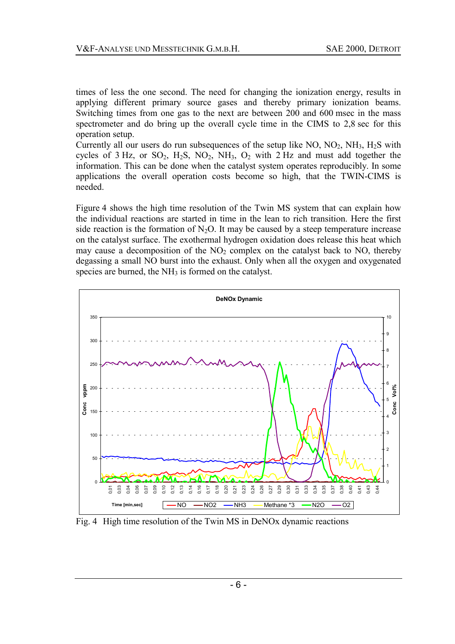times of less the one second. The need for changing the ionization energy, results in applying different primary source gases and thereby primary ionization beams. Switching times from one gas to the next are between 200 and 600 msec in the mass spectrometer and do bring up the overall cycle time in the CIMS to 2,8 sec for this operation setup.

Currently all our users do run subsequences of the setup like  $NO$ ,  $NO<sub>2</sub>$ ,  $NH<sub>3</sub>$ ,  $H<sub>2</sub>S$  with cycles of  $3$  Hz, or SO<sub>2</sub>, H<sub>2</sub>S, NO<sub>2</sub>, NH<sub>3</sub>, O<sub>2</sub> with  $2$  Hz and must add together the information. This can be done when the catalyst system operates reproducibly. In some applications the overall operation costs become so high, that the TWIN-CIMS is needed.

Figure 4 shows the high time resolution of the Twin MS system that can explain how the individual reactions are started in time in the lean to rich transition. Here the first side reaction is the formation of  $N_2O$ . It may be caused by a steep temperature increase on the catalyst surface. The exothermal hydrogen oxidation does release this heat which may cause a decomposition of the  $NO<sub>2</sub>$  complex on the catalyst back to  $NO$ , thereby degassing a small NO burst into the exhaust. Only when all the oxygen and oxygenated species are burned, the  $NH<sub>3</sub>$  is formed on the catalyst.



Fig. 4 High time resolution of the Twin MS in DeNOx dynamic reactions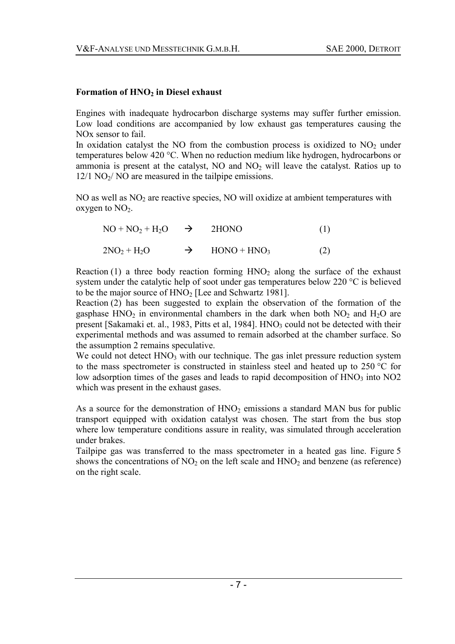### Formation of  $HNO<sub>2</sub>$  in Diesel exhaust

Engines with inadequate hydrocarbon discharge systems may suffer further emission. Low load conditions are accompanied by low exhaust gas temperatures causing the NOx sensor to fail.

In oxidation catalyst the NO from the combustion process is oxidized to  $NO<sub>2</sub>$  under temperatures below 420 °C. When no reduction medium like hydrogen, hydrocarbons or ammonia is present at the catalyst,  $NO$  and  $NO<sub>2</sub>$  will leave the catalyst. Ratios up to  $12/1$  NO<sub>2</sub>/ NO are measured in the tailpipe emissions.

NO as well as  $NO<sub>2</sub>$  are reactive species, NO will oxidize at ambient temperatures with oxygen to  $NO<sub>2</sub>$ .

| $NO + NO2 + H2O \rightarrow 2HONO$ |               | (1) |
|------------------------------------|---------------|-----|
| $2NO2 + H2O$                       | $HONO + HNO3$ | (2) |

Reaction (1) a three body reaction forming  $HNO<sub>2</sub>$  along the surface of the exhaust system under the catalytic help of soot under gas temperatures below 220 °C is believed to be the major source of  $HNO<sub>2</sub>$  [Lee and Schwartz 1981].

Reaction (2) has been suggested to explain the observation of the formation of the gasphase  $HNO<sub>2</sub>$  in environmental chambers in the dark when both  $NO<sub>2</sub>$  and  $H<sub>2</sub>O$  are present [Sakamaki et. al., 1983, Pitts et al, 1984]. HNO<sub>3</sub> could not be detected with their experimental methods and was assumed to remain adsorbed at the chamber surface. So the assumption 2 remains speculative.

We could not detect  $HNO<sub>3</sub>$  with our technique. The gas inlet pressure reduction system to the mass spectrometer is constructed in stainless steel and heated up to 250 °C for low adsorption times of the gases and leads to rapid decomposition of  $HNO<sub>3</sub>$  into NO2 which was present in the exhaust gases.

As a source for the demonstration of  $HNO<sub>2</sub>$  emissions a standard MAN bus for public transport equipped with oxidation catalyst was chosen. The start from the bus stop where low temperature conditions assure in reality, was simulated through acceleration under brakes.

Tailpipe gas was transferred to the mass spectrometer in a heated gas line. Figure 5 shows the concentrations of  $NO<sub>2</sub>$  on the left scale and  $HNO<sub>2</sub>$  and benzene (as reference) on the right scale.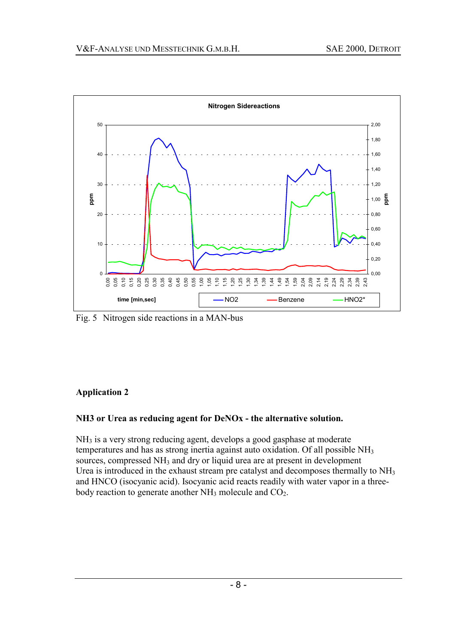

Fig. 5 Nitrogen side reactions in a MAN-bus

## **Application 2**

## **NH3 or Urea as reducing agent for DeNOx - the alternative solution.**

 $NH<sub>3</sub>$  is a very strong reducing agent, develops a good gasphase at moderate temperatures and has as strong inertia against auto oxidation. Of all possible  $NH<sub>3</sub>$ sources, compressed NH<sub>3</sub> and dry or liquid urea are at present in development Urea is introduced in the exhaust stream pre catalyst and decomposes thermally to NH<sub>3</sub> and HNCO (isocyanic acid). Isocyanic acid reacts readily with water vapor in a threebody reaction to generate another  $NH_3$  molecule and  $CO_2$ .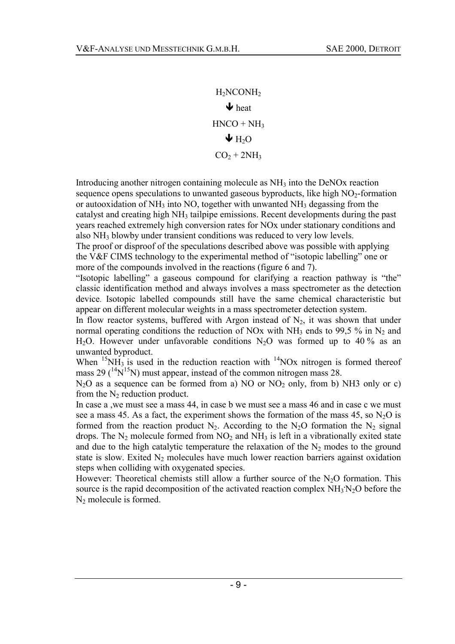H2NCONH2  $\blacktriangleright$  heat  $HNCO + NH<sub>3</sub>$  $\blacklozenge$  H<sub>2</sub>O  $CO<sub>2</sub> + 2NH<sub>3</sub>$ 

Introducing another nitrogen containing molecule as NH<sub>3</sub> into the DeNO<sub>x</sub> reaction sequence opens speculations to unwanted gaseous byproducts, like high  $NO<sub>2</sub>$ -formation or autooxidation of NH3 into NO, together with unwanted NH3 degassing from the catalyst and creating high NH3 tailpipe emissions. Recent developments during the past years reached extremely high conversion rates for NOx under stationary conditions and also NH3 blowby under transient conditions was reduced to very low levels.

The proof or disproof of the speculations described above was possible with applying the V&F CIMS technology to the experimental method of "isotopic labelling" one or more of the compounds involved in the reactions (figure 6 and 7).

"Isotopic labelling" a gaseous compound for clarifying a reaction pathway is "the" classic identification method and always involves a mass spectrometer as the detection device. Isotopic labelled compounds still have the same chemical characteristic but appear on different molecular weights in a mass spectrometer detection system.

In flow reactor systems, buffered with Argon instead of  $N_2$ , it was shown that under normal operating conditions the reduction of NOx with  $NH_3$  ends to 99,5 % in N<sub>2</sub> and H<sub>2</sub>O. However under unfavorable conditions N<sub>2</sub>O was formed up to 40 % as an unwanted byproduct.

When  $15NH_3$  is used in the reduction reaction with  $14NOx$  nitrogen is formed thereof mass 29  $(^{14}N^{15}N)$  must appear, instead of the common nitrogen mass 28.

 $N<sub>2</sub>O$  as a sequence can be formed from a) NO or NO<sub>2</sub> only, from b) NH3 only or c) from the  $N_2$  reduction product.

In case a ,we must see a mass 44, in case b we must see a mass 46 and in case c we must see a mass 45. As a fact, the experiment shows the formation of the mass 45, so  $N_2O$  is formed from the reaction product  $N_2$ . According to the  $N_2O$  formation the  $N_2$  signal drops. The  $N_2$  molecule formed from  $NO_2$  and  $NH_3$  is left in a vibrationally exited state and due to the high catalytic temperature the relaxation of the  $N_2$  modes to the ground state is slow. Exited  $N_2$  molecules have much lower reaction barriers against oxidation steps when colliding with oxygenated species.

However: Theoretical chemists still allow a further source of the  $N<sub>2</sub>O$  formation. This source is the rapid decomposition of the activated reaction complex NH<sub>3</sub>N<sub>2</sub>O before the  $N_2$  molecule is formed.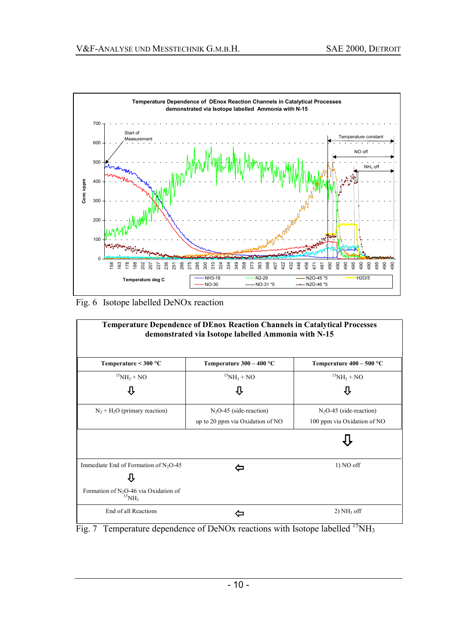

Fig. 6 Isotope labelled DeNOx reaction



Fig. 7 Temperature dependence of DeNOx reactions with Isotope labelled  $^{15}$ NH<sub>3</sub>